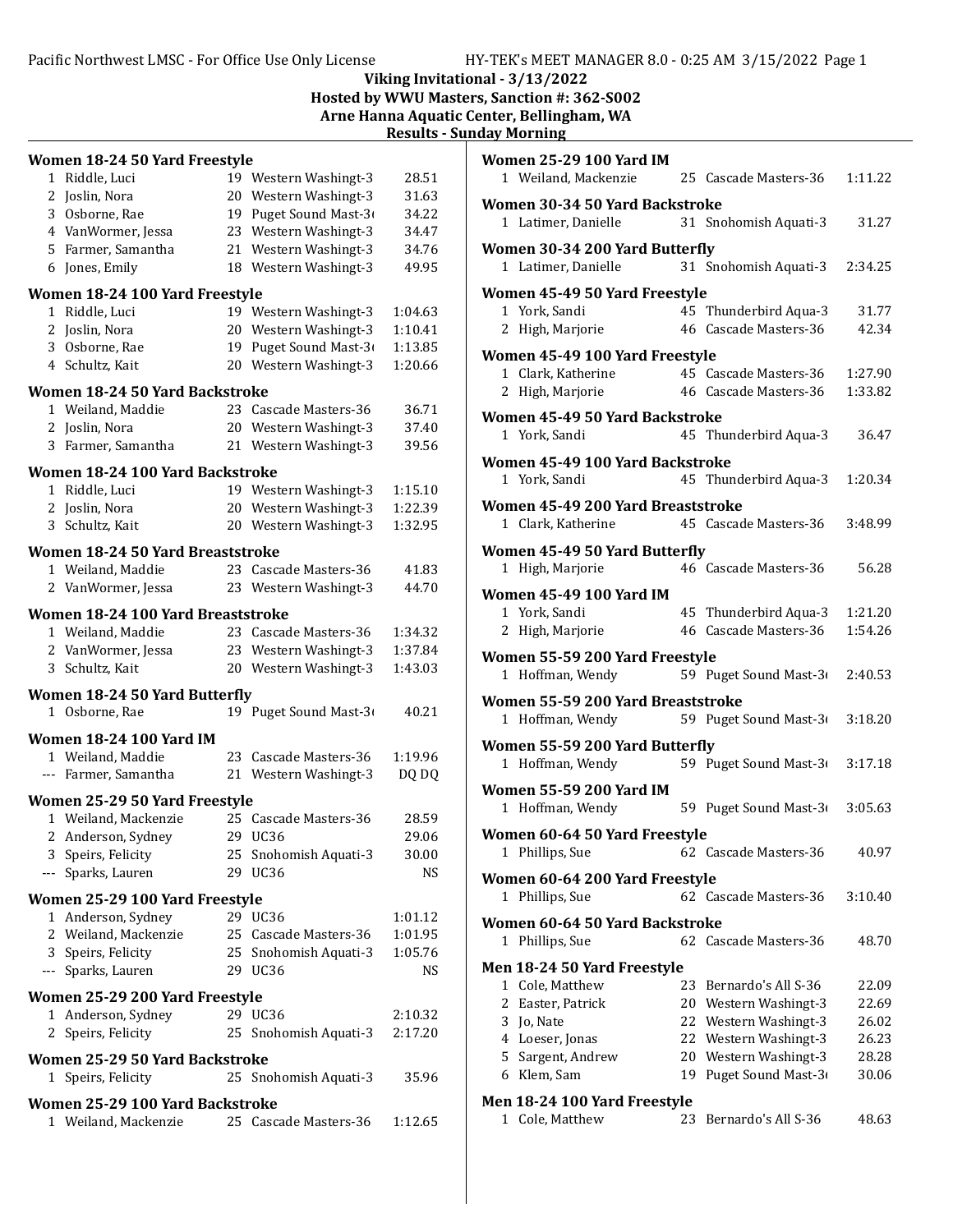## Pacific Northwest LMSC - For Office Use Only License HY-TEK's MEET MANAGER 8.0 - 0:25 AM 3/15/2022 Page 1

Viking Invitational - 3/13/2022

Hosted by WWU Masters, Sanction #: 362-S002

Arne Hanna Aquatic Center, Bellingham, WA

Results - Sunday Morning

| Women 18-24 50 Yard Freestyle                        |                                                         |    |                       |         |  |
|------------------------------------------------------|---------------------------------------------------------|----|-----------------------|---------|--|
|                                                      | 1 Riddle, Luci                                          |    | 19 Western Washingt-3 | 28.51   |  |
|                                                      | 2 Joslin, Nora                                          | 20 | Western Washingt-3    | 31.63   |  |
|                                                      | 3 Osborne, Rae                                          | 19 | Puget Sound Mast-3    | 34.22   |  |
|                                                      | 4 VanWormer, Jessa                                      | 23 | Western Washingt-3    | 34.47   |  |
|                                                      | 5 Farmer, Samantha                                      | 21 | Western Washingt-3    | 34.76   |  |
|                                                      | 6 Jones, Emily                                          |    | 18 Western Washingt-3 | 49.95   |  |
|                                                      | Women 18-24 100 Yard Freestyle                          |    |                       |         |  |
|                                                      | 1 Riddle, Luci                                          | 19 | Western Washingt-3    | 1:04.63 |  |
|                                                      | 2 Joslin, Nora                                          | 20 | Western Washingt-3    | 1:10.41 |  |
|                                                      | 3 Osborne, Rae                                          | 19 | Puget Sound Mast-3    | 1:13.85 |  |
|                                                      | 4 Schultz, Kait                                         |    | 20 Western Washingt-3 | 1:20.66 |  |
|                                                      | Women 18-24 50 Yard Backstroke                          |    |                       |         |  |
|                                                      | 1 Weiland, Maddie                                       |    | 23 Cascade Masters-36 | 36.71   |  |
|                                                      | 2 Joslin, Nora                                          | 20 | Western Washingt-3    | 37.40   |  |
|                                                      | 3 Farmer, Samantha                                      |    | 21 Western Washingt-3 | 39.56   |  |
|                                                      | Women 18-24 100 Yard Backstroke                         |    |                       |         |  |
|                                                      | 1 Riddle, Luci                                          |    | 19 Western Washingt-3 | 1:15.10 |  |
|                                                      | 2 Joslin, Nora                                          |    | 20 Western Washingt-3 | 1:22.39 |  |
|                                                      | 3 Schultz, Kait                                         |    | 20 Western Washingt-3 | 1:32.95 |  |
|                                                      | Women 18-24 50 Yard Breaststroke                        |    |                       |         |  |
|                                                      | 1 Weiland, Maddie                                       |    | 23 Cascade Masters-36 | 41.83   |  |
|                                                      | 2 VanWormer, Jessa                                      |    | 23 Western Washingt-3 | 44.70   |  |
|                                                      | Women 18-24 100 Yard Breaststroke                       |    |                       |         |  |
|                                                      | 1 Weiland, Maddie                                       |    | 23 Cascade Masters-36 | 1:34.32 |  |
|                                                      | 2 VanWormer, Jessa                                      | 23 | Western Washingt-3    | 1:37.84 |  |
|                                                      | 3 Schultz, Kait                                         |    | 20 Western Washingt-3 | 1:43.03 |  |
|                                                      | <b>Women 18-24 50 Yard Butterfly</b>                    |    |                       |         |  |
|                                                      | 1 Osborne, Rae                                          |    | 19 Puget Sound Mast-3 | 40.21   |  |
|                                                      | <b>Women 18-24 100 Yard IM</b>                          |    |                       |         |  |
|                                                      | 1 Weiland, Maddie                                       | 23 | Cascade Masters-36    | 1:19.96 |  |
|                                                      | --- Farmer, Samantha                                    |    | 21 Western Washingt-3 | DQ DQ   |  |
|                                                      | Women 25-29 50 Yard Freestyle                           |    |                       |         |  |
|                                                      | 1 Weiland, Mackenzie                                    |    | 25 Cascade Masters-36 | 28.59   |  |
|                                                      | 2 Anderson, Sydney                                      |    | 29 UC36               | 29.06   |  |
|                                                      | 3 Speirs, Felicity                                      | 25 | Snohomish Aquati-3    | 30.00   |  |
|                                                      | --- Sparks, Lauren                                      | 29 | UC36                  | NS      |  |
| Women 25-29 100 Yard Freestyle                       |                                                         |    |                       |         |  |
|                                                      | 1 Anderson, Sydney                                      |    | 29 UC36               | 1:01.12 |  |
|                                                      | 2 Weiland, Mackenzie                                    |    | 25 Cascade Masters-36 | 1:01.95 |  |
|                                                      | 3 Speirs, Felicity                                      |    | 25 Snohomish Aquati-3 | 1:05.76 |  |
|                                                      | --- Sparks, Lauren                                      |    | 29 UC36               | NS      |  |
| Women 25-29 200 Yard Freestyle                       |                                                         |    |                       |         |  |
| 1                                                    | Anderson, Sydney                                        |    | 29 UC36               | 2:10.32 |  |
| 2                                                    | Speirs, Felicity                                        | 25 | Snohomish Aquati-3    | 2:17.20 |  |
| Women 25-29 50 Yard Backstroke                       |                                                         |    |                       |         |  |
| 1 Speirs, Felicity<br>25 Snohomish Aquati-3<br>35.96 |                                                         |    |                       |         |  |
|                                                      |                                                         |    |                       |         |  |
|                                                      |                                                         |    |                       |         |  |
|                                                      | Women 25-29 100 Yard Backstroke<br>1 Weiland, Mackenzie |    | 25 Cascade Masters-36 | 1:12.65 |  |

| <b>Women 25-29 100 Yard IM</b>                                                        |    |                                                |                    |
|---------------------------------------------------------------------------------------|----|------------------------------------------------|--------------------|
| 1 Weiland, Mackenzie                                                                  |    | 25 Cascade Masters-36                          | 1:11.22            |
| Women 30-34 50 Yard Backstroke<br>1 Latimer, Danielle                                 |    | 31 Snohomish Aquati-3                          | 31.27              |
| Women 30-34 200 Yard Butterfly                                                        |    |                                                |                    |
| 1 Latimer, Danielle                                                                   |    | 31 Snohomish Aquati-3                          | 2:34.25            |
| Women 45-49 50 Yard Freestyle                                                         |    |                                                |                    |
| 1 York, Sandi                                                                         |    | 45 Thunderbird Aqua-3                          | 31.77<br>42.34     |
| 2 High, Marjorie                                                                      |    | 46 Cascade Masters-36                          |                    |
| Women 45-49 100 Yard Freestyle                                                        |    |                                                |                    |
| 1 Clark, Katherine<br>2 High, Marjorie                                                |    | 45 Cascade Masters-36<br>46 Cascade Masters-36 | 1:27.90<br>1:33.82 |
|                                                                                       |    |                                                |                    |
| Women 45-49 50 Yard Backstroke                                                        |    |                                                |                    |
| 1 York, Sandi                                                                         |    | 45 Thunderbird Aqua-3                          | 36.47              |
| Women 45-49 100 Yard Backstroke                                                       |    |                                                |                    |
| 1 York, Sandi                                                                         |    | 45 Thunderbird Aqua-3                          | 1:20.34            |
| Women 45-49 200 Yard Breaststroke                                                     |    |                                                |                    |
| 1 Clark, Katherine                                                                    |    | 45 Cascade Masters-36                          | 3:48.99            |
| Women 45-49 50 Yard Butterfly                                                         |    |                                                |                    |
| 1 High, Marjorie                                                                      |    | 46 Cascade Masters-36                          | 56.28              |
| <b>Women 45-49 100 Yard IM</b>                                                        |    |                                                |                    |
| 1 York, Sandi                                                                         |    | 45 Thunderbird Aqua-3                          | 1:21.20            |
| 2 High, Marjorie                                                                      |    | 46 Cascade Masters-36                          | 1:54.26            |
| Women 55-59 200 Yard Freestyle                                                        |    |                                                |                    |
| 1 Hoffman, Wendy                                                                      |    | 59 Puget Sound Mast-3                          | 2:40.53            |
| Women 55-59 200 Yard Breaststroke                                                     |    |                                                |                    |
| 1 Hoffman, Wendy                                                                      |    | 59 Puget Sound Mast-3                          | 3:18.20            |
| Women 55-59 200 Yard Butterfly                                                        |    |                                                |                    |
| 1 Hoffman, Wendy                                                                      |    | 59 Puget Sound Mast-3                          | 3:17.18            |
| <b>Women 55-59 200 Yard IM</b>                                                        |    |                                                |                    |
| 1 Hoffman, Wendy                                                                      |    | 59 Puget Sound Mast-3                          | 3:05.63            |
| Women 60-64 50 Yard Freestyle                                                         |    |                                                |                    |
| Phillips, Sue<br>T                                                                    |    | 62 Cascade Masters-36                          | 40.97              |
| Women 60-64 200 Yard Freestyle                                                        |    |                                                |                    |
| 1 Phillips, Sue                                                                       |    | 62 Cascade Masters-36                          | 3:10.40            |
| Women 60-64 50 Yard Backstroke                                                        |    |                                                |                    |
| 1 Phillips, Sue                                                                       |    | 62 Cascade Masters-36                          | 48.70              |
| Men 18-24 50 Yard Freestyle                                                           |    |                                                |                    |
| 1 Cole, Matthew                                                                       | 23 | Bernardo's All S-36                            | 22.09              |
| 2 Easter, Patrick                                                                     |    | 20 Western Washingt-3                          | 22.69              |
| 3 Jo, Nate                                                                            |    | 22 Western Washingt-3                          | 26.02              |
| 4 Loeser, Jonas                                                                       |    | 22 Western Washingt-3                          | 26.23              |
| 5 Sargent, Andrew<br>Klem, Sam<br>6                                                   | 19 | 20 Western Washingt-3<br>Puget Sound Mast-3    | 28.28<br>30.06     |
|                                                                                       |    |                                                |                    |
| Men 18-24 100 Yard Freestyle<br>1 Cole, Matthew<br>23<br>Bernardo's All S-36<br>48.63 |    |                                                |                    |
|                                                                                       |    |                                                |                    |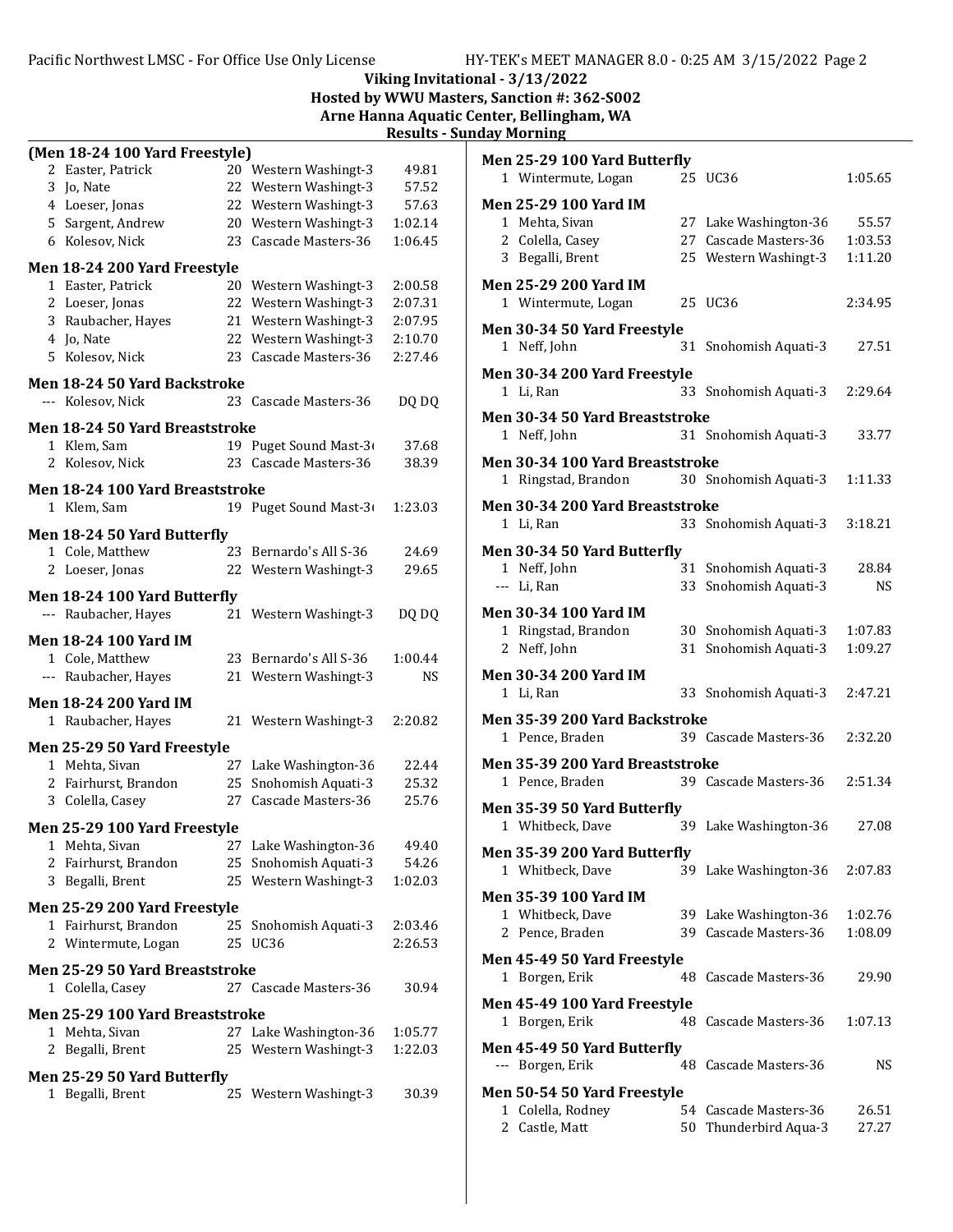### Pacific Northwest LMSC - For Office Use Only License HY-TEK's MEET MANAGER 8.0 - 0:25 AM 3/15/2022 Page 2

## Viking Invitational - 3/13/2022

Hosted by WWU Masters, Sanction #: 362-S002

Arne Hanna Aquatic Center, Bellingham, WA **- Sunday Morning** 

|   |                                                      |    |                        | <b>Results</b> - |
|---|------------------------------------------------------|----|------------------------|------------------|
|   | (Men 18-24 100 Yard Freestyle)                       |    |                        |                  |
| 2 | Easter, Patrick                                      |    | 20 Western Washingt-3  | 49.81            |
|   | 3 Jo, Nate                                           | 22 | Western Washingt-3     | 57.52            |
|   | 4 Loeser, Jonas                                      | 22 | Western Washingt-3     | 57.63            |
|   | 5 Sargent, Andrew                                    |    | 20 Western Washingt-3  | 1:02.14          |
|   | 6 Kolesov, Nick                                      |    | 23 Cascade Masters-36  | 1:06.45          |
|   | Men 18-24 200 Yard Freestyle                         |    |                        |                  |
|   | 1 Easter, Patrick                                    | 20 | Western Washingt-3     | 2:00.58          |
|   | 2 Loeser, Jonas                                      | 22 | Western Washingt-3     | 2:07.31          |
|   | 3 Raubacher, Hayes                                   | 21 | Western Washingt-3     | 2:07.95          |
|   | 4 Jo, Nate                                           | 22 | Western Washingt-3     | 2:10.70          |
|   | 5 Kolesov, Nick                                      | 23 | Cascade Masters-36     | 2:27.46          |
|   | <b>Men 18-24 50 Yard Backstroke</b>                  |    |                        |                  |
|   | --- Kolesov, Nick                                    |    | 23 Cascade Masters-36  | DQ DQ            |
|   |                                                      |    |                        |                  |
|   | <b>Men 18-24 50 Yard Breaststroke</b><br>1 Klem, Sam |    | 19 Puget Sound Mast-3  | 37.68            |
|   | 2 Kolesov, Nick                                      | 23 | Cascade Masters-36     | 38.39            |
|   |                                                      |    |                        |                  |
|   | Men 18-24 100 Yard Breaststroke                      |    |                        |                  |
|   | 1 Klem, Sam                                          |    | 19 Puget Sound Mast-3  | 1:23.03          |
|   | Men 18-24 50 Yard Butterfly                          |    |                        |                  |
|   | 1 Cole, Matthew                                      | 23 | Bernardo's All S-36    | 24.69            |
|   | 2 Loeser, Jonas                                      | 22 | Western Washingt-3     | 29.65            |
|   |                                                      |    |                        |                  |
|   | Men 18-24 100 Yard Butterfly<br>--- Raubacher, Hayes | 21 | Western Washingt-3     | DQ DQ            |
|   |                                                      |    |                        |                  |
|   | <b>Men 18-24 100 Yard IM</b>                         |    |                        |                  |
|   | 1 Cole, Matthew                                      |    | 23 Bernardo's All S-36 | 1:00.44          |
|   | --- Raubacher, Hayes                                 | 21 | Western Washingt-3     | NS               |
|   | <b>Men 18-24 200 Yard IM</b>                         |    |                        |                  |
|   | 1 Raubacher, Hayes                                   |    | 21 Western Washingt-3  | 2:20.82          |
|   | Men 25-29 50 Yard Freestyle                          |    |                        |                  |
|   | 1 Mehta, Sivan                                       | 27 | Lake Washington-36     | 22.44            |
|   | 2 Fairhurst, Brandon                                 | 25 | Snohomish Aquati-3     | 25.32            |
|   | 3 Colella, Casey                                     | 27 | Cascade Masters-36     | 25.76            |
|   |                                                      |    |                        |                  |
|   | Men 25-29 100 Yard Freestyle                         |    |                        |                  |
|   | 1 Mehta, Sivan                                       |    | 27 Lake Washington-36  | 49.40            |
|   | 2 Fairhurst, Brandon                                 |    | 25 Snohomish Aquati-3  | 54.26            |
|   | 3 Begalli, Brent                                     |    | 25 Western Washingt-3  | 1:02.03          |
|   | Men 25-29 200 Yard Freestyle                         |    |                        |                  |
|   | 1 Fairhurst. Brandon                                 | 25 | Snohomish Aquati-3     | 2:03.46          |
|   | 2 Wintermute, Logan                                  | 25 | <b>UC36</b>            | 2:26.53          |
|   | Men 25-29 50 Yard Breaststroke                       |    |                        |                  |
|   | 1 Colella, Casey                                     |    | 27 Cascade Masters-36  | 30.94            |
|   |                                                      |    |                        |                  |
|   | Men 25-29 100 Yard Breaststroke                      |    |                        |                  |
|   | 1 Mehta, Sivan                                       |    | 27 Lake Washington-36  | 1:05.77          |
|   | 2 Begalli, Brent                                     |    | 25 Western Washingt-3  | 1:22.03          |
|   | Men 25-29 50 Yard Butterfly                          |    |                        |                  |
|   | 1 Begalli, Brent                                     |    | 25 Western Washingt-3  | 30.39            |
|   |                                                      |    |                        |                  |

| Men 25-29 100 Yard Butterfly                     |     |                       |         |
|--------------------------------------------------|-----|-----------------------|---------|
| 1 Wintermute, Logan                              |     | 25 UC36               | 1:05.65 |
| <b>Men 25-29 100 Yard IM</b>                     |     |                       |         |
| 1 Mehta, Sivan                                   |     | 27 Lake Washington-36 | 55.57   |
| 2 Colella, Casey                                 |     | 27 Cascade Masters-36 | 1:03.53 |
| 3 Begalli, Brent                                 | 25  | Western Washingt-3    | 1:11.20 |
| <b>Men 25-29 200 Yard IM</b>                     |     |                       |         |
| 1 Wintermute, Logan                              |     | 25 UC36               | 2:34.95 |
| Men 30-34 50 Yard Freestyle                      |     |                       |         |
| 1 Neff, John                                     | 31  | Snohomish Aquati-3    | 27.51   |
| Men 30-34 200 Yard Freestyle                     |     |                       |         |
| 1 Li, Ran                                        | 33  | Snohomish Aquati-3    | 2:29.64 |
| Men 30-34 50 Yard Breaststroke                   |     |                       |         |
| 1 Neff, John                                     |     | 31 Snohomish Aquati-3 | 33.77   |
|                                                  |     |                       |         |
| Men 30-34 100 Yard Breaststroke                  |     |                       |         |
| 1 Ringstad, Brandon                              |     | 30 Snohomish Aquati-3 | 1:11.33 |
| Men 30-34 200 Yard Breaststroke                  |     |                       |         |
| 1 Li, Ran                                        | 33  | Snohomish Aquati-3    | 3:18.21 |
| Men 30-34 50 Yard Butterfly                      |     |                       |         |
| 1 Neff, John                                     | 31  | Snohomish Aquati-3    | 28.84   |
| --- Li, Ran                                      |     | 33 Snohomish Aquati-3 | NS.     |
| <b>Men 30-34 100 Yard IM</b>                     |     |                       |         |
| 1 Ringstad, Brandon                              | 30  | Snohomish Aquati-3    | 1:07.83 |
| 2 Neff, John                                     | 31  | Snohomish Aquati-3    | 1:09.27 |
| <b>Men 30-34 200 Yard IM</b>                     |     |                       |         |
| 1 Li, Ran                                        | 33  | Snohomish Aquati-3    | 2:47.21 |
|                                                  |     |                       |         |
| Men 35-39 200 Yard Backstroke<br>1 Pence, Braden |     | 39 Cascade Masters-36 | 2:32.20 |
|                                                  |     |                       |         |
| Men 35-39 200 Yard Breaststroke                  |     |                       |         |
| 1 Pence, Braden                                  |     | 39 Cascade Masters-36 | 2:51.34 |
| Men 35-39 50 Yard Butterfly                      |     |                       |         |
| 1 Whitbeck, Dave                                 |     | 39 Lake Washington-36 | 27.08   |
| Men 35-39 200 Yard Butterfly                     |     |                       |         |
| 1 Whitbeck, Dave                                 | 39  | Lake Washington-36    | 2:07.83 |
| <b>Men 35-39 100 Yard IM</b>                     |     |                       |         |
| 1 Whitbeck, Dave                                 | 39- | Lake Washington-36    | 1:02.76 |
| 2 Pence, Braden                                  | 39- | Cascade Masters-36    | 1:08.09 |
| Men 45-49 50 Yard Freestyle                      |     |                       |         |
| 1 Borgen, Erik                                   | 48  | Cascade Masters-36    | 29.90   |
|                                                  |     |                       |         |
| Men 45-49 100 Yard Freestyle                     |     |                       |         |
| 1 Borgen, Erik                                   | 48  | Cascade Masters-36    | 1:07.13 |
| Men 45-49 50 Yard Butterfly                      |     |                       |         |
| --- Borgen, Erik                                 | 48  | Cascade Masters-36    | NS      |
| Men 50-54 50 Yard Freestyle                      |     |                       |         |
| Colella, Rodney<br>1                             | 54  | Cascade Masters-36    | 26.51   |
| 2<br>Castle, Matt                                | 50  | Thunderbird Aqua-3    | 27.27   |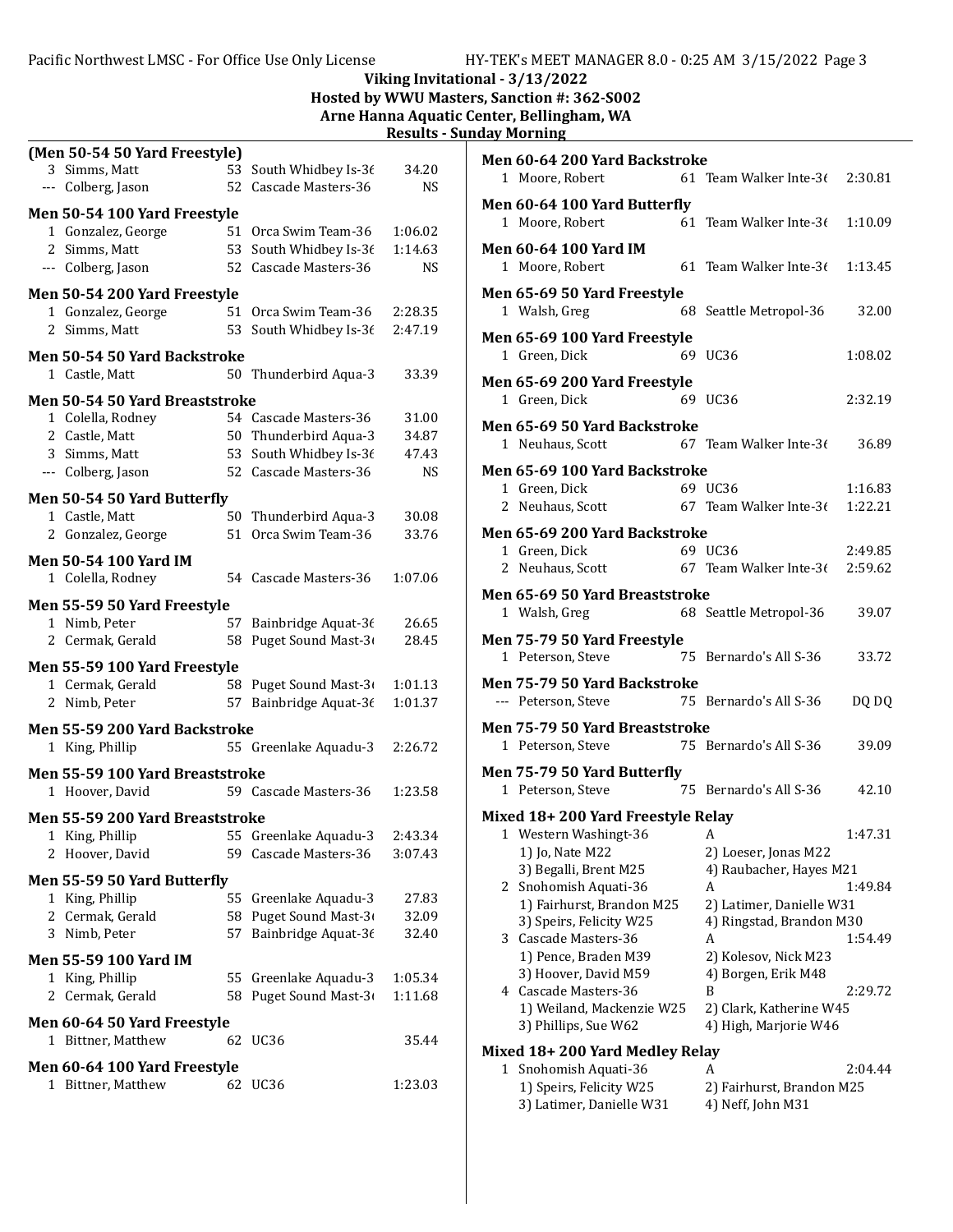#### Viking Invitational - 3/13/2022 Hosted by WWU Masters, Sanction #: 362-S002 Arne Hanna Aquatic Center, Bellingham, WA Results - Sunday Morning (Men 50-54 50 Yard Freestyle) 3 Simms, Matt 53 South Whidbey Is-36 34.20 --- Colberg, Jason 52 Cascade Masters-36 NS Men 50-54 100 Yard Freestyle 1 Gonzalez, George 51 Orca Swim Team-36 1:06.02 2 Simms, Matt 53 South Whidbey Is-36 1:14.63 --- Colberg, Jason 52 Cascade Masters-36 NS Men 50-54 200 Yard Freestyle 1 2:28.35 Gonzalez, George 51 Orca Swim Team-36 2 Simms, Matt 53 South Whidbey Is-36 2:47.19 Men 50-54 50 Yard Backstroke 1 Castle, Matt 50 Thunderbird Aqua-3 33.39 Men 50-54 50 Yard Breaststroke 1 Colella, Rodney 54 Cascade Masters-36 31.00 2 Castle, Matt 50 Thunderbird Aqua-3 34.87 3 Simms, Matt 53 South Whidbey Is-36 47.43 --- Colberg, Jason 52 Cascade Masters-36 NS Men 50-54 50 Yard Butterfly 1 Castle, Matt 50 Thunderbird Aqua-3 30.08 2 33.76 Gonzalez, George 51 Orca Swim Team-36 Men 50-54 100 Yard IM 1 Colella, Rodney 54 Cascade Masters-36 1:07.06 Men 55-59 50 Yard Freestyle 1 Nimb, Peter 57 Bainbridge Aquat-36 26.65 2 Cermak, Gerald 58 Puget Sound Mast-36 28.45 Men 55-59 100 Yard Freestyle 1 Cermak, Gerald 58 Puget Sound Mast-3 1:01.13 2 Nimb, Peter 57 Bainbridge Aquat-36 1:01.37 Men 55-59 200 Yard Backstroke 1 King, Phillip 55 Greenlake Aquadu-3 2:26.72 Men 60-64 200 Yard Backstroke 1 Moore, Robert 61 Team Walker Inte-36 2:30.81 Men 60-64 100 Yard Butterfly 1 Moore, Robert 61 Team Walker Inte-36 1:10.09 Men 60-64 100 Yard IM 1 Moore, Robert 61 Team Walker Inte-36 1:13.45 Men 65-69 50 Yard Freestyle 1 Walsh, Greg 68 Seattle Metropol-36 32.00 Men 65-69 100 Yard Freestyle 1 Green, Dick 69 UC36 1:08.02 Men 65-69 200 Yard Freestyle 1 Green, Dick 69 UC36 2:32.19 Men 65-69 50 Yard Backstroke 1 Neuhaus, Scott 67 Team Walker Inte-36 36.89 Men 65-69 100 Yard Backstroke 1 Green, Dick 69 UC36 1:16.83 2 Neuhaus, Scott  $67$  Team Walker Inte-3 $(1:22.21)$ Men 65-69 200 Yard Backstroke 1 Green, Dick 69 UC36 2:49.85 2 Neuhaus, Scott  $67$  Team Walker Inte-3 $(2.59.62)$ Men 65-69 50 Yard Breaststroke 1 Walsh, Greg 68 Seattle Metropol-36 39.07 Men 75-79 50 Yard Freestyle 1 33.72 Peterson, Steve 75 Bernardo's All S-36 Men 75-79 50 Yard Backstroke --- Peterson, Steve 75 Bernardo's All S-36 DQ DQ Men 75-79 50 Yard Breaststroke 1 39.09 Peterson, Steve 75 Bernardo's All S-36

## Men 55-59 100 Yard Breaststroke

|   | 1 Hoover, David                        |     | 59 Cascade Masters-36 | 1:23.58 |
|---|----------------------------------------|-----|-----------------------|---------|
|   | <b>Men 55-59 200 Yard Breaststroke</b> |     |                       |         |
|   | 1 King, Phillip                        |     | 55 Greenlake Aquadu-3 | 2:43.34 |
|   | 2 Hoover, David                        | 59. | Cascade Masters-36    | 3:07.43 |
|   | Men 55-59 50 Yard Butterfly            |     |                       |         |
|   | 1 King, Phillip                        |     | 55 Greenlake Aquadu-3 | 27.83   |
|   | 2 Cermak, Gerald                       | 58  | Puget Sound Mast-3    | 32.09   |
| 3 | Nimb, Peter                            | 57  | Bainbridge Aquat-36   | 32.40   |
|   | <b>Men 55-59 100 Yard IM</b>           |     |                       |         |
|   | 1 King, Phillip                        |     | 55 Greenlake Aquadu-3 | 1:05.34 |
|   | 2 Cermak, Gerald                       | 58  | Puget Sound Mast-3    | 1:11.68 |
|   | Men 60-64 50 Yard Freestyle            |     |                       |         |
|   | 1 Bittner, Matthew                     |     | 62 UC36               | 35.44   |
|   | Men 60-64 100 Yard Freestyle           |     |                       |         |
| 1 | Bittner, Matthew                       |     | 62 UC36               | 1:23.03 |
|   |                                        |     |                       |         |

|                                 | Men 75-79 50 Yard Butterfly        |  |                          |         |
|---------------------------------|------------------------------------|--|--------------------------|---------|
|                                 | 1 Peterson, Steve                  |  | 75 Bernardo's All S-36   | 42.10   |
|                                 | Mixed 18+ 200 Yard Freestyle Relay |  |                          |         |
|                                 | 1 Western Washingt-36              |  | A                        | 1:47.31 |
|                                 | 1) Jo, Nate M22                    |  | 2) Loeser, Jonas M22     |         |
|                                 | 3) Begalli, Brent M25              |  | 4) Raubacher, Hayes M21  |         |
|                                 | 2 Snohomish Aquati-36              |  | A                        | 1:49.84 |
|                                 | 1) Fairhurst, Brandon M25          |  | 2) Latimer, Danielle W31 |         |
|                                 | 3) Speirs, Felicity W25            |  | 4) Ringstad, Brandon M30 |         |
|                                 | 3 Cascade Masters-36               |  | A                        | 1:54.49 |
|                                 | 1) Pence, Braden M39               |  | 2) Kolesov, Nick M23     |         |
|                                 | 3) Hoover, David M59               |  | 4) Borgen, Erik M48      |         |
|                                 | 4 Cascade Masters-36               |  | B                        | 2:29.72 |
|                                 | 1) Weiland, Mackenzie W25          |  | 2) Clark, Katherine W45  |         |
|                                 | 3) Phillips, Sue W62               |  | 4) High, Marjorie W46    |         |
| Mixed 18+ 200 Yard Medley Relay |                                    |  |                          |         |

#### 1 2:04.44 Snohomish Aquati-36 A 1) Speirs, Felicity W25 2) Fairhurst, Brandon M25 3) Latimer, Danielle W31 4) Neff, John M31